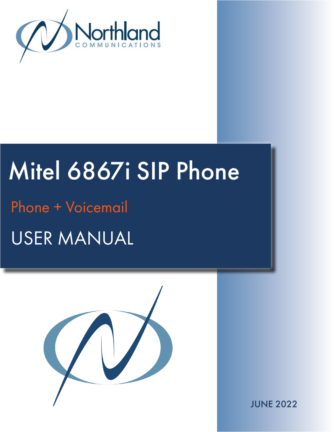

# Mitel 6867i SIP Phone

USER MANUAL Phone + Voicemail



JUNE 2022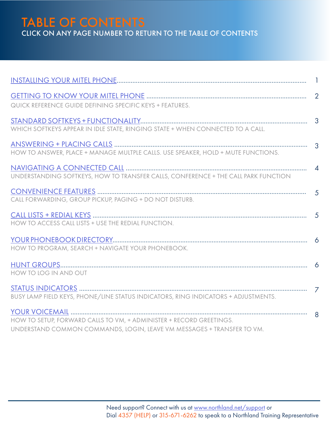TABLE OF CONTENTS CLICK ON ANY PAGE NUMBER TO RETURN TO THE TABLE OF CONTENTS

| QUICK REFERENCE GUIDE DEFINING SPECIFIC KEYS + FEATURES.                                                                                      |  |
|-----------------------------------------------------------------------------------------------------------------------------------------------|--|
| WHICH SOFTKEYS APPEAR IN IDLE STATE, RINGING STATE + WHEN CONNECTED TO A CALL.                                                                |  |
| HOW TO ANSWER, PLACE + MANAGE MULTPLE CALLS. USE SPEAKER, HOLD + MUTE FUNCTIONS.                                                              |  |
| UNDERSTANDING SOFTKEYS, HOW TO TRANSFER CALLS, CONFERENCE + THE CALL PARK FUNCTION                                                            |  |
| CALL FORWARDING, GROUP PICKUP, PAGING + DO NOT DISTURB.                                                                                       |  |
| HOW TO ACCESS CALL LISTS + USE THE REDIAL FUNCTION.                                                                                           |  |
| HOW TO PROGRAM, SEARCH + NAVIGATE YOUR PHONEBOOK.                                                                                             |  |
| HOW TO LOG IN AND OUT                                                                                                                         |  |
| BUSY LAMP FIELD KEYS, PHONE/LINE STATUS INDICATORS, RING INDICATORS + ADJUSTMENTS.                                                            |  |
| HOW TO SETUP, FORWARD CALLS TO VM, + ADMINISTER + RECORD GREETINGS.<br>UNDERSTAND COMMON COMMANDS, LOGIN, LEAVE VM MESSAGES + TRANSFER TO VM. |  |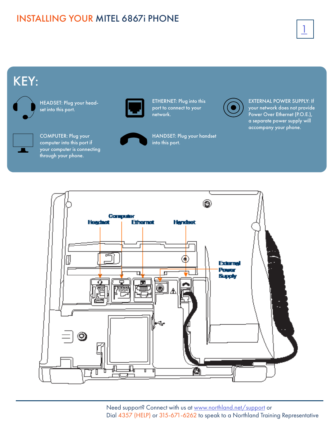### <span id="page-2-1"></span><span id="page-2-0"></span>INSTALLING YOUR MITEL 6867i PHONE

## 1

### KEY:



HEADSET: Plug your headset into this port.



COMPUTER: Plug your computer into this port if your computer is connecting

through your phone.



ETHERNET: Plug into this port to connect to your network.



HANDSET: Plug your handset into this port.



EXTERNAL POWER SUPPLY: If your network does not provide Power Over Ethernet (P.O.E.), a separate power supply will accompany your phone.

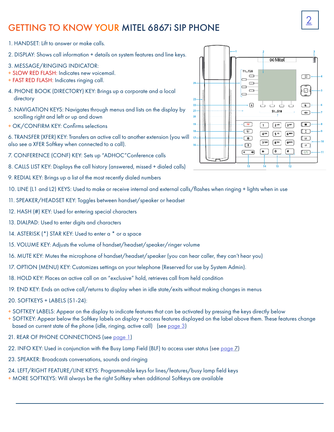### <span id="page-3-0"></span>GETTING TO KNOW YOUR MITEL 6867i SIP PHONE

- 1. HANDSET: Lift to answer or make calls.
- 2. DISPLAY: Shows call information + details on system features and line keys.
- 3. MESSAGE/RINGING INDICATOR:
- + SLOW RED FLASH: Indicates new voicemail.
- + FAST RED FLASH: Indicates ringing call.
- 4. PHONE BOOK (DIRECTORY) KEY: Brings up a corporate and a local directory
- 5. NAVIGATION KEYS: Navigates through menus and lists on the display by scrolling right and left or up and down
- + OK/CONFIRM KEY: Confirms selections
- 6. TRANSFER (XFER) KEY: Transfers an active call to another extension (you will also see a XFER Softkey when connected to a call).
- 7. CONFERENCE (CONF) KEY: Sets up "ADHOC"Conference calls
- 8. CALLS LIST KEY: Displays the call history (answered, missed + dialed calls)
- 9. REDIAL KEY: Brings up a list of the most recently dialed numbers
- 10. LINE (L1 and L2) KEYS: Used to make or receive internal and external calls/flashes when ringing + lights when in use
- 11. SPEAKER/HEADSET KEY: Toggles between handset/speaker or headset
- 12. HASH (#) KEY: Used for entering special characters
- 13. DIALPAD: Used to enter digits and characters
- 14. ASTERISK (\*) STAR KEY: Used to enter a \* or a space
- 15. VOLUME KEY: Adjusts the volume of handset/headset/speaker/ringer volume
- 16. MUTE KEY: Mutes the microphone of handset/headset/speaker (you can hear caller, they can't hear you)
- 17. OPTION (MENU) KEY: Customizes settings on your telephone (Reserved for use by System Admin).
- 18. HOLD KEY: Places an active call on an "exclusive" hold, retrieves call from held condition
- 19. END KEY: Ends an active call/returns to display when in idle state/exits without making changes in menus
- 20. SOFTKEYS + LABELS (S1-24):
- + SOFTKEY LABELS: Appear on the display to indicate features that can be activated by pressing the keys directly below
- + SOFTKEY: Appear below the Softkey labels on display + access features displayed on the label above them. These features change based on current state of the phone (idle, ringing, active call) (see [page 3](#page-4-2))
- 21. REAR OF PHONE CONNECTIONS (see [page 1](#page-2-1))
- 22. INFO KEY: Used in conjunction with the Busy Lamp Field (BLF) to access user status (see [page](#page-8-1) 7)
- 23. SPEAKER: Broadcasts conversations, sounds and ringing
- 24. LEFT/RIGHT FEATURE/LINE KEYS: Programmable keys for lines/features/busy lamp field keys
- + MORE SOFTKEYS: Will always be the right Softkey when additional Softkeys are available

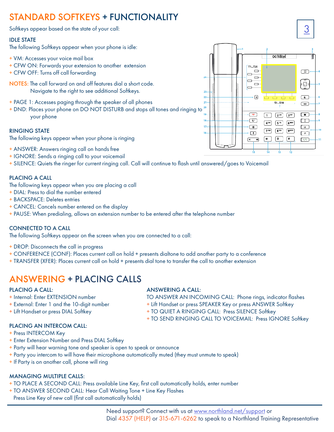### <span id="page-4-2"></span><span id="page-4-0"></span>STANDARD SOFTKEYS + FUNCTIONALITY

Softkeys appear based on the state of your call:

#### IDLE STATE

The following Softkeys appear when your phone is idle:

- + VM: Accesses your voice mail box
- + CFW ON: Forwards your extension to another extension
- + CFW OFF: Turns off call forwarding
- NOTES: The call forward on and off features dial a short code. Navigate to the right to see additional Softkeys.
- + PAGE 1: Accesses paging through the speaker of all phones
- + DND: Places your phone on DO NOT DISTURB and stops all tones and ringing to your phone

#### RINGING STATE

The following keys appear when your phone is ringing

- + ANSWER: Answers ringing call on hands free
- + IGNORE: Sends a ringing call to your voicemail
- + SILENCE: Quiets the ringer for current ringing call. Call will continue to flash until answered/goes to Voicemail

#### PLACING A CALL

The following keys appear when you are placing a call

- + DIAL: Press to dial the number entered
- + BACKSPACE: Deletes entries
- + CANCEL: Cancels number entered on the display
- + PAUSE: When predialing, allows an extension number to be entered after the telephone number

#### CONNECTED TO A CALL

The following Softkeys appear on the screen when you are connected to a call:

- + DROP: Disconnects the call in progress
- + CONFERENCE (CONF): Places current call on hold + presents dialtone to add another party to a conference
- + TRANSFER (XFER): Places current call on hold + presents dial tone to transfer the call to another extension

### <span id="page-4-1"></span>ANSWERING + PLACING CALLS

- 
- 
- 

#### PLACING A CALL: ANSWERING A CALL:

+ Internal: Enter EXTENSION number TO ANSWER AN INCOMING CALL: Phone rings, indicator flashes

- + External: Enter 1 and the 10-digit number  $+$  Lift Handset or press SPEAKER Key or press ANSWER Softkey
- + Lift Handset or press DIAL Softkey + TO QUIET A RINGING CALL: Press SILENCE Softkey
	- + TO SEND RINGING CALL TO VOICEMAIL: Press IGNORE Softkey

- PLACING AN INTERCOM CALL: + Press INTERCOM Key
- + Enter Extension Number and Press DIAL Softkey
- + Party will hear warning tone and speaker is open to speak or announce
- + Party you intercom to will have their microphone automatically muted (they must unmute to speak)
- + If Party is on another call, phone will ring

#### MANAGING MULTIPLE CALLS:

- + TO PLACE A SECOND CALL: Press available Line Key, first call automatically holds, enter number
- + TO ANSWER SECOND CALL: Hear Call Waiting Tone + Line Key Flashes
	- Press Line Key of new call (first call automatically holds)

 $\overline{24}$ 23  $\overline{22}$  $\overline{21}$ 20 18  $17$ 

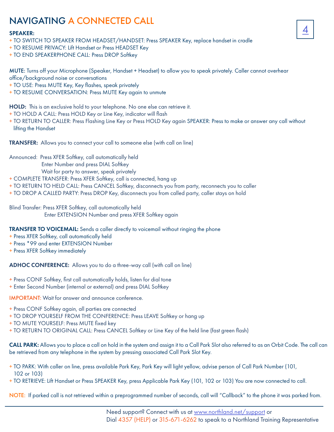### <span id="page-5-0"></span>NAVIGATING A CONNECTED CALL

#### SPEAKER:

- + TO SWITCH TO SPEAKER FROM HEADSET/HANDSET: Press SPEAKER Key, replace handset in cradle
- + TO RESUME PRIVACY: Lift Handset or Press HEADSET Key
- + TO END SPEAKERPHONE CALL: Press DROP Softkey

MUTE: Turns off your Microphone (Speaker, Handset + Headset) to allow you to speak privately. Caller cannot overhear office/background noise or conversations

- + TO USE: Press MUTE Key, Key flashes, speak privately
- + TO RESUME CONVERSATION: Press MUTE Key again to unmute

HOLD: This is an exclusive hold to your telephone. No one else can retrieve it.

- + TO HOLD A CALL: Press HOLD Key or Line Key, indicator will flash
- + TO RETURN TO CALLER: Press Flashing Line Key or Press HOLD Key again SPEAKER: Press to make or answer any call without lifting the Handset

TRANSFER: Allows you to connect your call to someone else (with call on line)

Announced: Press XFER Softkey, call automatically held

Enter Number and press DIAL Softkey

Wait for party to answer, speak privately

- + COMPLETE TRANSFER: Press XFER Softkey, call is connected, hang up
- + TO RETURN TO HELD CALL: Press CANCEL Softkey, disconnects you from party, reconnects you to caller
- + TO DROP A CALLED PARTY: Press DROP Key, disconnects you from called party, caller stays on hold

Blind Transfer: Press XFER Softkey, call automatically held Enter EXTENSION Number and press XFER Softkey again

TRANSFER TO VOICEMAIL: Sends a caller directly to voicemail without ringing the phone

- + Press XFER Softkey, call automatically held
- + Press \*99 and enter EXTENSION Number
- + Press XFER Softkey immediately

ADHOC CONFERENCE: Allows you to do a three-way call (with call on line)

- + Press CONF Softkey, first call automatically holds, listen for dial tone
- + Enter Second Number (internal or external) and press DIAL Softkey

IMPORTANT: Wait for answer and announce conference.

- + Press CONF Softkey again, all parties are connected
- + TO DROP YOURSELF FROM THE CONFERENCE: Press LEAVE Softkey or hang up
- + TO MUTE YOURSELF: Press MUTE fixed key
- + TO RETURN TO ORIGINAL CALL: Press CANCEL Softkey or Line Key of the held line (fast green flash)

CALL PARK: Allows you to place a call on hold in the system and assign it to a Call Park Slot also referred to as an Orbit Code. The call can be retrieved from any telephone in the system by pressing associated Call Park Slot Key.

- + TO PARK: With caller on line, press available Park Key, Park Key will light yellow, advise person of Call Park Number (101, 102 or 103)
- + TO RETRIEVE: Lift Handset or Press SPEAKER Key, press Applicable Park Key (101, 102 or 103) You are now connected to call.

NOTE: If parked call is not retrieved within a preprogrammed number of seconds, call will "Callback" to the phone it was parked from.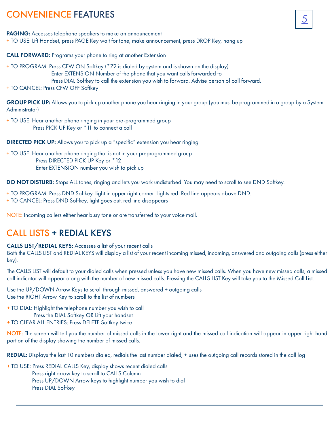### <span id="page-6-0"></span>CONVENIENCE FEATURES

PAGING: Accesses telephone speakers to make an announcement + TO USE: Lift Handset, press PAGE Key wait for tone, make announcement, press DROP Key, hang up

CALL FORWARD: Programs your phone to ring at another Extension

- + TO PROGRAM: Press CFW ON Softkey (\*72 is dialed by system and is shown on the display) Enter EXTENSION Number of the phone that you want calls forwarded to
	- Press DIAL Softkey to call the extension you wish to forward. Advise person of call forward.

+ TO CANCEL: Press CFW OFF Softkey

GROUP PICK UP: Allows you to pick up another phone you hear ringing in your group (you must be programmed in a group by a System Administrator)

+ TO USE: Hear another phone ringing in your pre-programmed group Press PICK UP Key or \*11 to connect a call

DIRECTED PICK UP: Allows you to pick up a "specific" extension you hear ringing

+ TO USE: Hear another phone ringing that is not in your preprogrammed group Press DIRECTED PICK UP Key or \*12 Enter EXTENSION number you wish to pick up

DO NOT DISTURB: Stops ALL tones, ringing and lets you work undisturbed. You may need to scroll to see DND Softkey.

- + TO PROGRAM: Press DND Softkey, light in upper right corner. Lights red. Red line appears above DND.
- + TO CANCEL: Press DND Softkey, light goes out, red line disappears

NOTE: Incoming callers either hear busy tone or are transferred to your voice mail.

### <span id="page-6-1"></span>CALL LISTS + REDIAL KEYS

#### CALLS LIST/REDIAL KEYS: Accesses a list of your recent calls

Both the CALLS LIST and REDIAL KEYS will display a list of your recent incoming missed, incoming, answered and outgoing calls (press either key).

The CALLS LIST will default to your dialed calls when pressed unless you have new missed calls. When you have new missed calls, a missed call indicator will appear along with the number of new missed calls. Pressing the CALLS LIST Key will take you to the Missed Call List.

Use the UP/DOWN Arrow Keys to scroll through missed, answered + outgoing calls Use the RIGHT Arrow Key to scroll to the list of numbers

+ TO DIAL: Highlight the telephone number you wish to call

- Press the DIAL Softkey OR Lift your handset
- + TO CLEAR ALL ENTRIES: Press DELETE Softkey twice

NOTE: The screen will tell you the number of missed calls in the lower right and the missed call indication will appear in upper right hand portion of the display showing the number of missed calls.

REDIAL: Displays the last 10 numbers dialed, redials the last number dialed, + uses the outgoing call records stored in the call log

+ TO USE: Press REDIAL CALLS Key, display shows recent dialed calls Press right arrow key to scroll to CALLS Column Press UP/DOWN Arrow keys to highlight number you wish to dial Press DIAL Softkey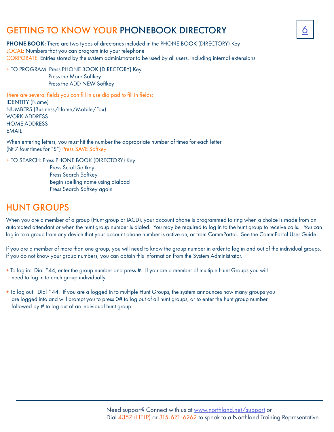### <span id="page-7-0"></span>GETTING TO KNOW YOUR PHONEBOOK DIRECTORY



PHONE BOOK: There are two types of directories included in the PHONE BOOK (DIRECTORY) Key LOCAL: Numbers that you can program into your telephone CORPORATE: Entries stored by the system administrator to be used by all users, including internal extensions

+ TO PROGRAM: Press PHONE BOOK (DIRECTORY) Key Press the More Softkey Press the ADD NEW Softkey

There are several fields you can fill in use dialpad to fill in fields: IDENTITY (Name) NUMBERS (Business/Home/Mobile/Fax) WORK ADDRESS HOME ADDRESS EMAIL

When entering letters, you must hit the number the appropriate number of times for each letter (hit 7 four times for "S") Press SAVE Softkey

+ TO SEARCH: Press PHONE BOOK (DIRECTORY) Key

 Press Scroll Softkey Press Search Softkey Begin spelling name using dialpad Press Search Softkey again

### <span id="page-7-1"></span>HUNT GROUPS

When you are a member of a group (Hunt group or iACD), your account phone is programmed to ring when a choice is made from an automated attendant or when the hunt group number is dialed. You may be required to log in to the hunt group to receive calls. You can log in to a group from any device that your account phone number is active on, or from CommPortal. See the CommPortal User Guide.

If you are a member of more than one group, you will need to know the group number in order to log in and out of the individual groups. If you do not know your group numbers, you can obtain this information from the System Administrator.

- + To log in: Dial \*44, enter the group number and press #. If you are a member of multiple Hunt Groups you will need to log in to each group individually.
- + To log out: Dial \*44. If you are a logged in to multiple Hunt Groups, the system announces how many groups you are logged into and will prompt you to press 0# to log out of all hunt groups, or to enter the hunt group number followed by # to log out of an individual hunt group.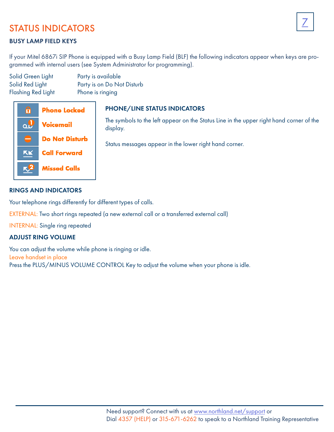### <span id="page-8-1"></span><span id="page-8-0"></span>STATUS INDICATORS

### BUSY LAMP FIELD KEYS

If your Mitel 6867i SIP Phone is equipped with a Busy Lamp Field (BLF) the following indicators appear when keys are programmed with internal users (see System Administrator for programming).

Solid Green Light Party is available Solid Red Light Party is on Do Not Disturb Flashing Red Light Phone is ringing



### PHONE/LINE STATUS INDICATORS

The symbols to the left appear on the Status Line in the upper right hand corner of the display.

Status messages appear in the lower right hand corner.

### RINGS AND INDICATORS

Your telephone rings differently for different types of calls.

EXTERNAL: Two short rings repeated (a new external call or a transferred external call)

INTERNAL: Single ring repeated

### ADJUST RING VOLUME

You can adjust the volume while phone is ringing or idle. Leave handset in place Press the PLUS/MINUS VOLUME CONTROL Key to adjust the volume when your phone is idle.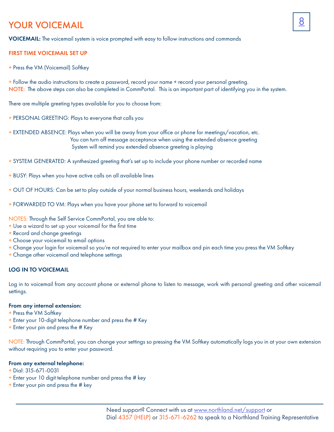### <span id="page-9-1"></span><span id="page-9-0"></span>8 YOUR VOICEMAIL

VOICEMAIL: The voicemail system is voice prompted with easy to follow instructions and commands

#### FIRST TIME VOICEMAIL SET UP

+ Press the VM (Voicemail) Softkey

+ Follow the audio instructions to create a password, record your name + record your personal greeting. NOTE: The above steps can also be completed in CommPortal. This is an important part of identifying you in the system.

There are multiple greeting types available for you to choose from:

- + PERSONAL GREETING: Plays to everyone that calls you
- + EXTENDED ABSENCE: Plays when you will be away from your office or phone for meetings/vacation, etc. You can turn off message acceptance when using the extended absence greeting System will remind you extended absence greeting is playing
- + SYSTEM GENERATED: A synthesized greeting that's set up to include your phone number or recorded name
- + BUSY: Plays when you have active calls on all available lines
- + OUT OF HOURS: Can be set to play outside of your normal business hours, weekends and holidays
- + FORWARDED TO VM: Plays when you have your phone set to forward to voicemail

NOTES: Through the Self Service CommPortal, you are able to:

- + Use a wizard to set up your voicemail for the first time
- + Record and change greetings
- + Choose your voicemail to email options
- + Change your login for voicemail so you're not required to enter your mailbox and pin each time you press the VM Softkey
- + Change other voicemail and telephone settings

#### LOG IN TO VOICEMAIL

Log in to voicemail from any account phone or external phone to listen to message, work with personal greeting and other voicemail settings.

#### From any internal extension:

- + Press the VM Softkey
- + Enter your 10-digit telephone number and press the # Key
- + Enter your pin and press the # Key

NOTE: Through CommPortal, you can change your settings so pressing the VM Softkey automatically logs you in at your own extension without requiring you to enter your password.

#### From any external telephone:

- + Dial: 315-671-0031
- + Enter your 10 digit telephone number and press the # key
- + Enter your pin and press the # key